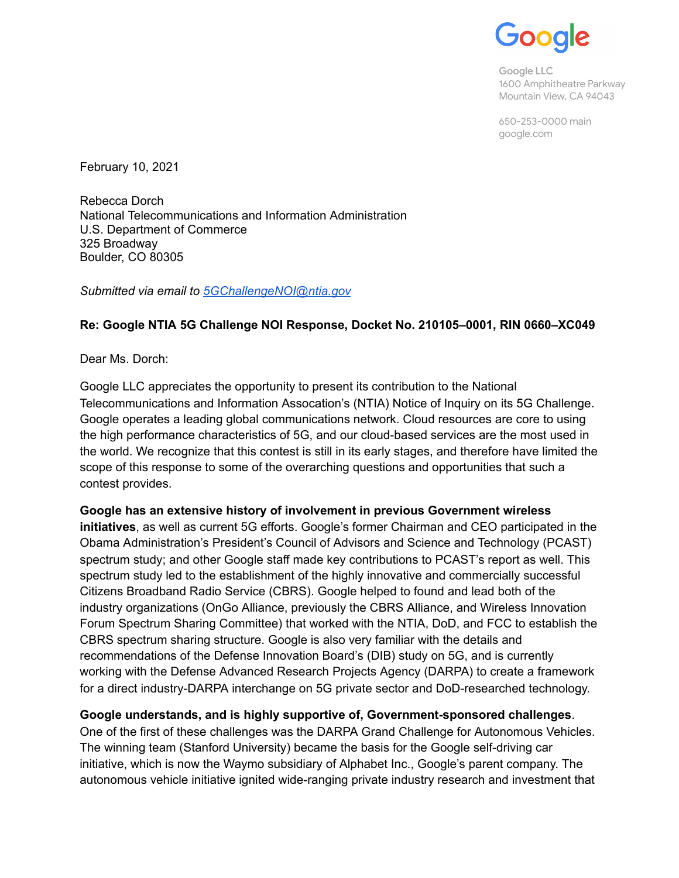Google

Google LLC 1600 Amphitheatre Parkway Mountain View, CA 94043

650-253-0000 main google.com

February 10, 2021

Rebecca Dorch National Telecommunications and Information Administration U.S. Department of Commerce 325 Broadway Boulder, CO 80305

*Submitted via email to [5GChallengeNOI@ntia.gov](mailto:5GChallengeNOI@ntia.gov)* 

## **Re: Google NTIA 5G Challenge NOI Response, Docket No. 210105–0001, RIN 0660–XC049**

Dear Ms. Dorch:

Google LLC appreciates the opportunity to present its contribution to the National Telecommunications and Information Assocation's (NTIA) Notice of Inquiry on its 5G Challenge. Google operates a leading global communications network. Cloud resources are core to using the high performance characteristics of 5G, and our cloud-based services are the most used in the world. We recognize that this contest is still in its early stages, and therefore have limited the scope of this response to some of the overarching questions and opportunities that such a contest provides.

# **Google has an extensive history of involvement in previous Government wireless**

**initiatives** , as well as current 5G efforts. Google's former Chairman and CEO participated in the Obama Administration's President's Council of Advisors and Science and Technology (PCAST) spectrum study; and other Google staff made key contributions to PCAST's report as well. This spectrum study led to the establishment of the highly innovative and commercially successful Citizens Broadband Radio Service (CBRS). Google helped to found and lead both of the industry organizations (OnGo Alliance, previously the CBRS Alliance, and Wireless Innovation Forum Spectrum Sharing Committee) that worked with the NTIA, DoD, and FCC to establish the CBRS spectrum sharing structure. Google is also very familiar with the details and recommendations of the Defense Innovation Board's (DIB) study on 5G, and is currently working with the Defense Advanced Research Projects Agency (DARPA) to create a framework for a direct industry-DARPA interchange on 5G private sector and DoD-researched technology.

### **Google understands, and is highly supportive of, Government-sponsored challenges** .

One of the first of these challenges was the DARPA Grand Challenge for Autonomous Vehicles. The winning team (Stanford University) became the basis for the Google self-driving car initiative, which is now the Waymo subsidiary of Alphabet Inc., Google's parent company. The autonomous vehicle initiative ignited wide-ranging private industry research and investment that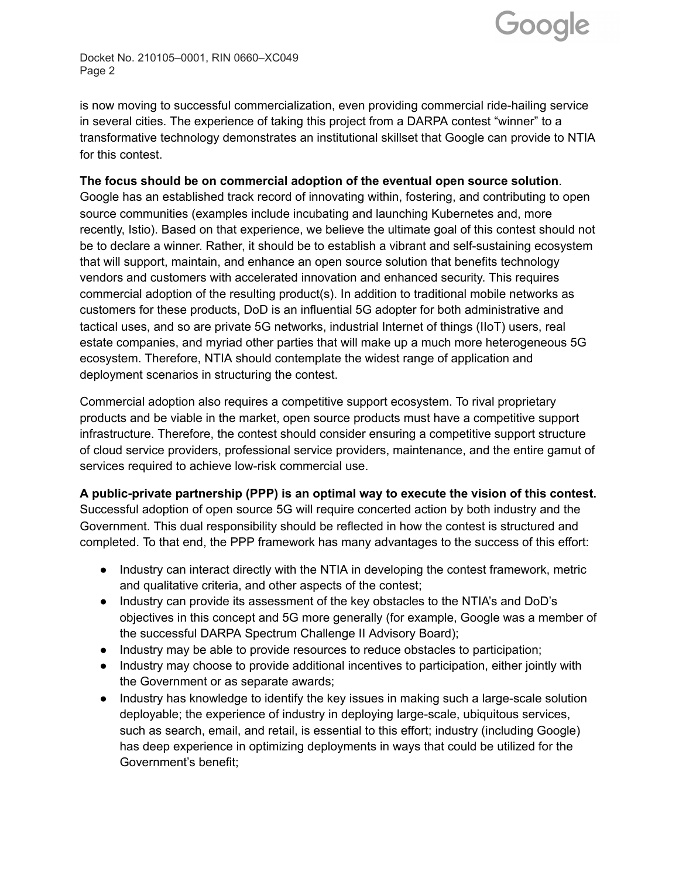

Docket No. 210105–0001, RIN 0660–XC049 Page 2

is now moving to successful commercialization, even providing commercial ride-hailing service in several cities. The experience of taking this project from a DARPA contest "winner" to a transformative technology demonstrates an institutional skillset that Google can provide to NTIA for this contest.

#### **The focus should be on commercial adoption of the eventual open source solution**.

Google has an established track record of innovating within, fostering, and contributing to open source communities (examples include incubating and launching Kubernetes and, more recently, Istio). Based on that experience, we believe the ultimate goal of this contest should not be to declare a winner. Rather, it should be to establish a vibrant and self-sustaining ecosystem that will support, maintain, and enhance an open source solution that benefits technology vendors and customers with accelerated innovation and enhanced security. This requires commercial adoption of the resulting product(s). In addition to traditional mobile networks as customers for these products, DoD is an influential 5G adopter for both administrative and tactical uses, and so are private 5G networks, industrial Internet of things (IIoT) users, real estate companies, and myriad other parties that will make up a much more heterogeneous 5G ecosystem. Therefore, NTIA should contemplate the widest range of application and deployment scenarios in structuring the contest.

Commercial adoption also requires a competitive support ecosystem. To rival proprietary products and be viable in the market, open source products must have a competitive support infrastructure. Therefore, the contest should consider ensuring a competitive support structure of cloud service providers, professional service providers, maintenance, and the entire gamut of services required to achieve low-risk commercial use.

### **A public-private partnership (PPP) is an optimal way to execute the vision of this contest.**

Successful adoption of open source 5G will require concerted action by both industry and the Government. This dual responsibility should be reflected in how the contest is structured and completed. To that end, the PPP framework has many advantages to the success of this effort:

- Industry can interact directly with the NTIA in developing the contest framework, metric and qualitative criteria, and other aspects of the contest;
- Industry can provide its assessment of the key obstacles to the NTIA's and DoD's objectives in this concept and 5G more generally (for example, Google was a member of the successful DARPA Spectrum Challenge II Advisory Board);
- Industry may be able to provide resources to reduce obstacles to participation;
- Industry may choose to provide additional incentives to participation, either jointly with the Government or as separate awards;
- Industry has knowledge to identify the key issues in making such a large-scale solution deployable; the experience of industry in deploying large-scale, ubiquitous services, such as search, email, and retail, is essential to this effort; industry (including Google) has deep experience in optimizing deployments in ways that could be utilized for the Government's benefit;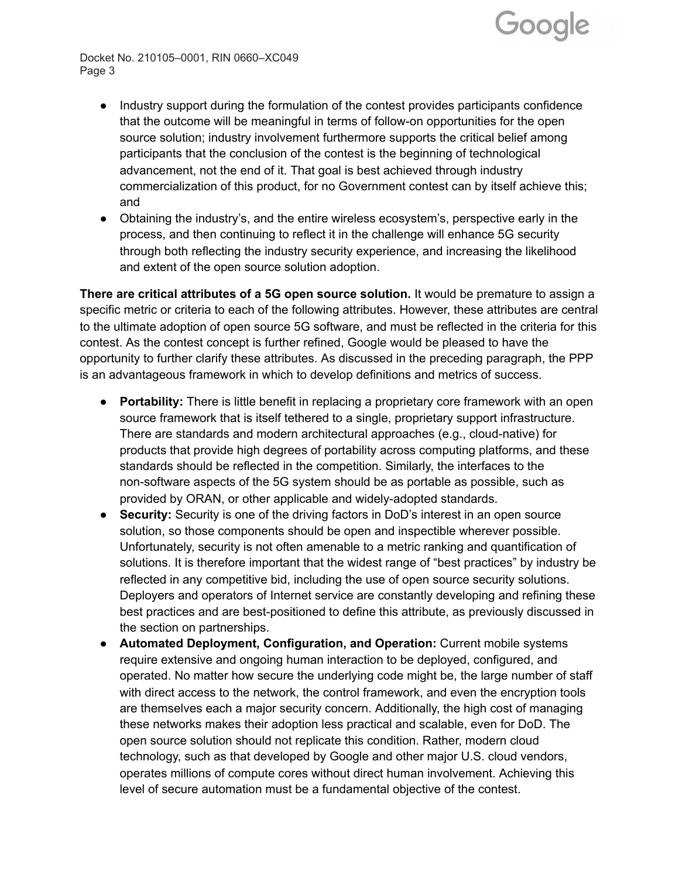

Docket No. 210105–0001, RIN 0660–XC049 Page 3

- Industry support during the formulation of the contest provides participants confidence that the outcome will be meaningful in terms of follow-on opportunities for the open source solution; industry involvement furthermore supports the critical belief among participants that the conclusion of the contest is the beginning of technological advancement, not the end of it. That goal is best achieved through industry commercialization of this product, for no Government contest can by itself achieve this; and
- Obtaining the industry's, and the entire wireless ecosystem's, perspective early in the process, and then continuing to reflect it in the challenge will enhance 5G security through both reflecting the industry security experience, and increasing the likelihood and extent of the open source solution adoption.

**There are critical attributes of a 5G open source solution.** It would be premature to assign a specific metric or criteria to each of the following attributes. However, these attributes are central to the ultimate adoption of open source 5G software, and must be reflected in the criteria for this contest. As the contest concept is further refined, Google would be pleased to have the opportunity to further clarify these attributes. As discussed in the preceding paragraph, the PPP is an advantageous framework in which to develop definitions and metrics of success.

- **Portability:** There is little benefit in replacing a proprietary core framework with an open source framework that is itself tethered to a single, proprietary support infrastructure. There are standards and modern architectural approaches (e.g., cloud-native) for products that provide high degrees of portability across computing platforms, and these standards should be reflected in the competition. Similarly, the interfaces to the non-software aspects of the 5G system should be as portable as possible, such as provided by ORAN, or other applicable and widely-adopted standards.
- **Security:** Security is one of the driving factors in DoD's interest in an open source solution, so those components should be open and inspectible wherever possible. Unfortunately, security is not often amenable to a metric ranking and quantification of solutions. It is therefore important that the widest range of "best practices" by industry be reflected in any competitive bid, including the use of open source security solutions. Deployers and operators of Internet service are constantly developing and refining these best practices and are best-positioned to define this attribute, as previously discussed in the section on partnerships.
- **Automated Deployment, Configuration, and Operation:** Current mobile systems require extensive and ongoing human interaction to be deployed, configured, and operated. No matter how secure the underlying code might be, the large number of staff with direct access to the network, the control framework, and even the encryption tools are themselves each a major security concern. Additionally, the high cost of managing these networks makes their adoption less practical and scalable, even for DoD. The open source solution should not replicate this condition. Rather, modern cloud technology, such as that developed by Google and other major U.S. cloud vendors, operates millions of compute cores without direct human involvement. Achieving this level of secure automation must be a fundamental objective of the contest.